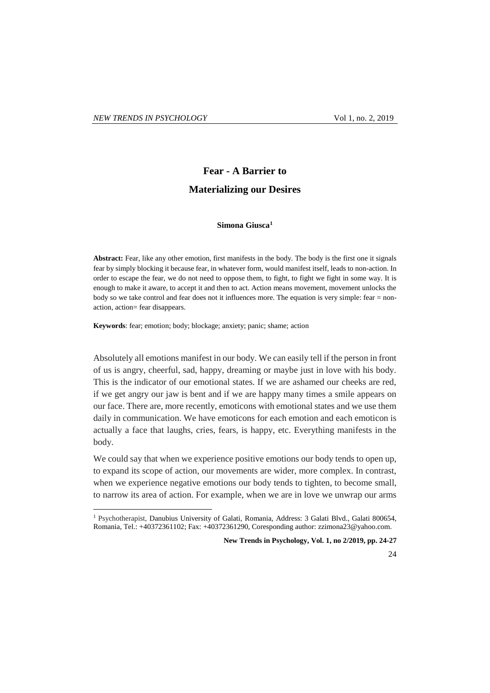$\overline{a}$ 

## **Fear - A Barrier to Materializing our Desires**

## **Simona Giusca<sup>1</sup>**

**Abstract:** Fear, like any other emotion, first manifests in the body. The body is the first one it signals fear by simply blocking it because fear, in whatever form, would manifest itself, leads to non-action. In order to escape the fear, we do not need to oppose them, to fight, to fight we fight in some way. It is enough to make it aware, to accept it and then to act. Action means movement, movement unlocks the body so we take control and fear does not it influences more. The equation is very simple: fear = nonaction, action= fear disappears.

**Keywords**: fear; emotion; body; blockage; anxiety; panic; shame; action

Absolutely all emotions manifest in our body. We can easily tell if the person in front of us is angry, cheerful, sad, happy, dreaming or maybe just in love with his body. This is the indicator of our emotional states. If we are ashamed our cheeks are red, if we get angry our jaw is bent and if we are happy many times a smile appears on our face. There are, more recently, emoticons with emotional states and we use them daily in communication. We have emoticons for each emotion and each emoticon is actually a face that laughs, cries, fears, is happy, etc. Everything manifests in the body.

We could say that when we experience positive emotions our body tends to open up, to expand its scope of action, our movements are wider, more complex. In contrast, when we experience negative emotions our body tends to tighten, to become small, to narrow its area of action. For example, when we are in love we unwrap our arms

**New Trends in Psychology, Vol. 1, no 2/2019, pp. 24-27**

24

<sup>1</sup> Psychotherapist, Danubius University of Galati, Romania, Address: 3 Galati Blvd., Galati 800654, Romania, Tel.: +40372361102; Fax: +40372361290, Coresponding author: zzimona23@yahoo.com.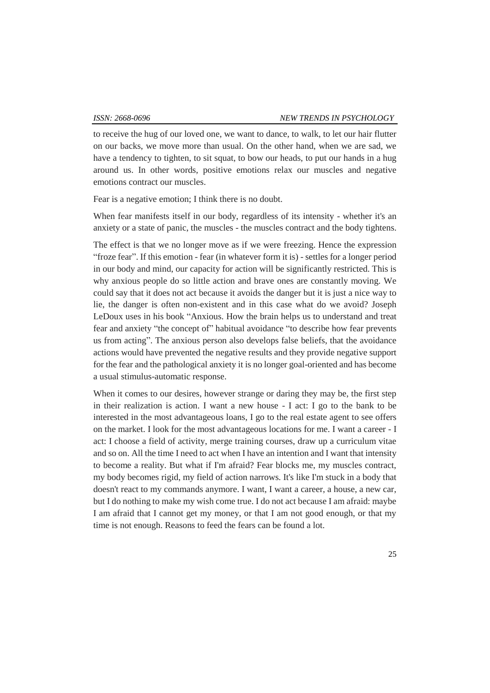to receive the hug of our loved one, we want to dance, to walk, to let our hair flutter on our backs, we move more than usual. On the other hand, when we are sad, we have a tendency to tighten, to sit squat, to bow our heads, to put our hands in a hug around us. In other words, positive emotions relax our muscles and negative emotions contract our muscles.

Fear is a negative emotion; I think there is no doubt.

When fear manifests itself in our body, regardless of its intensity - whether it's an anxiety or a state of panic, the muscles - the muscles contract and the body tightens.

The effect is that we no longer move as if we were freezing. Hence the expression "froze fear". If this emotion - fear (in whatever form it is) - settles for a longer period in our body and mind, our capacity for action will be significantly restricted. This is why anxious people do so little action and brave ones are constantly moving. We could say that it does not act because it avoids the danger but it is just a nice way to lie, the danger is often non-existent and in this case what do we avoid? Joseph LeDoux uses in his book "Anxious. How the brain helps us to understand and treat fear and anxiety "the concept of" habitual avoidance "to describe how fear prevents us from acting". The anxious person also develops false beliefs, that the avoidance actions would have prevented the negative results and they provide negative support for the fear and the pathological anxiety it is no longer goal-oriented and has become a usual stimulus-automatic response.

When it comes to our desires, however strange or daring they may be, the first step in their realization is action. I want a new house - I act: I go to the bank to be interested in the most advantageous loans, I go to the real estate agent to see offers on the market. I look for the most advantageous locations for me. I want a career - I act: I choose a field of activity, merge training courses, draw up a curriculum vitae and so on. All the time I need to act when I have an intention and I want that intensity to become a reality. But what if I'm afraid? Fear blocks me, my muscles contract, my body becomes rigid, my field of action narrows. It's like I'm stuck in a body that doesn't react to my commands anymore. I want, I want a career, a house, a new car, but I do nothing to make my wish come true. I do not act because I am afraid: maybe I am afraid that I cannot get my money, or that I am not good enough, or that my time is not enough. Reasons to feed the fears can be found a lot.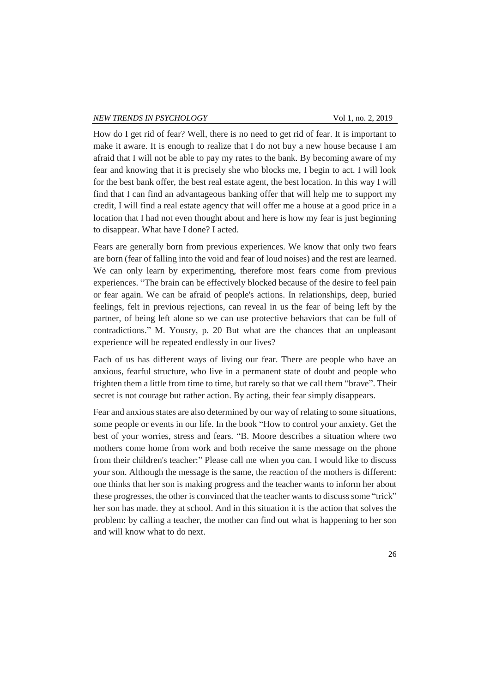How do I get rid of fear? Well, there is no need to get rid of fear. It is important to make it aware. It is enough to realize that I do not buy a new house because I am afraid that I will not be able to pay my rates to the bank. By becoming aware of my fear and knowing that it is precisely she who blocks me, I begin to act. I will look for the best bank offer, the best real estate agent, the best location. In this way I will find that I can find an advantageous banking offer that will help me to support my credit, I will find a real estate agency that will offer me a house at a good price in a location that I had not even thought about and here is how my fear is just beginning to disappear. What have I done? I acted.

Fears are generally born from previous experiences. We know that only two fears are born (fear of falling into the void and fear of loud noises) and the rest are learned. We can only learn by experimenting, therefore most fears come from previous experiences. "The brain can be effectively blocked because of the desire to feel pain or fear again. We can be afraid of people's actions. In relationships, deep, buried feelings, felt in previous rejections, can reveal in us the fear of being left by the partner, of being left alone so we can use protective behaviors that can be full of contradictions." M. Yousry, p. 20 But what are the chances that an unpleasant experience will be repeated endlessly in our lives?

Each of us has different ways of living our fear. There are people who have an anxious, fearful structure, who live in a permanent state of doubt and people who frighten them a little from time to time, but rarely so that we call them "brave". Their secret is not courage but rather action. By acting, their fear simply disappears.

Fear and anxious states are also determined by our way of relating to some situations, some people or events in our life. In the book "How to control your anxiety. Get the best of your worries, stress and fears. "B. Moore describes a situation where two mothers come home from work and both receive the same message on the phone from their children's teacher:" Please call me when you can. I would like to discuss your son. Although the message is the same, the reaction of the mothers is different: one thinks that her son is making progress and the teacher wants to inform her about these progresses, the other is convinced that the teacher wants to discuss some "trick" her son has made. they at school. And in this situation it is the action that solves the problem: by calling a teacher, the mother can find out what is happening to her son and will know what to do next.

26